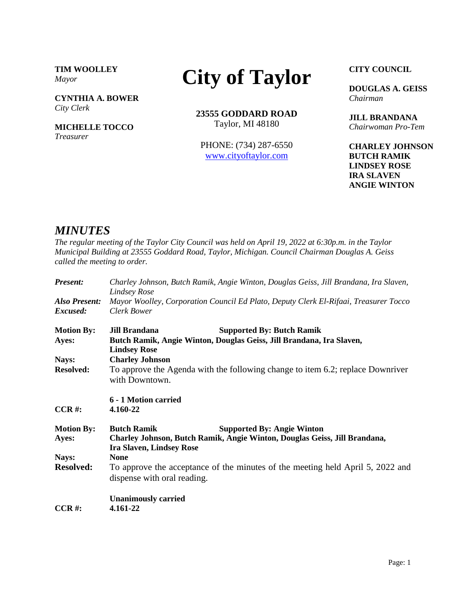**TIM WOOLLEY** *Mayor*

**CYNTHIA A. BOWER** *City Clerk*

**MICHELLE TOCCO** *Treasurer*

## **City of Taylor**

**23555 GODDARD ROAD** Taylor, MI 48180

PHONE: (734) 287-6550 [www.cityoftaylor.com](http://cityoftaylor.com/)

**CITY COUNCIL**

**DOUGLAS A. GEISS** *Chairman*

**JILL BRANDANA** *Chairwoman Pro-Tem*

**CHARLEY JOHNSON BUTCH RAMIK LINDSEY ROSE IRA SLAVEN ANGIE WINTON**

## *MINUTES*

*The regular meeting of the Taylor City Council was held on April 19, 2022 at 6:30p.m. in the Taylor Municipal Building at 23555 Goddard Road, Taylor, Michigan. Council Chairman Douglas A. Geiss called the meeting to order.*

| Present:                         | Charley Johnson, Butch Ramik, Angie Winton, Douglas Geiss, Jill Brandana, Ira Slaven,<br><b>Lindsey Rose</b>                                                            |  |
|----------------------------------|-------------------------------------------------------------------------------------------------------------------------------------------------------------------------|--|
| <b>Also Present:</b><br>Excused: | Mayor Woolley, Corporation Council Ed Plato, Deputy Clerk El-Rifaai, Treasurer Tocco<br>Clerk Bower                                                                     |  |
| <b>Motion By:</b><br>Ayes:       | <b>Jill Brandana</b><br><b>Supported By: Butch Ramik</b><br>Butch Ramik, Angie Winton, Douglas Geiss, Jill Brandana, Ira Slaven,<br><b>Lindsey Rose</b>                 |  |
| Nays:<br><b>Resolved:</b>        | <b>Charley Johnson</b><br>To approve the Agenda with the following change to item 6.2; replace Downriver<br>with Downtown.                                              |  |
| $CCR$ #:                         | 6 - 1 Motion carried<br>4.160-22                                                                                                                                        |  |
| <b>Motion By:</b><br>Ayes:       | <b>Butch Ramik</b><br><b>Supported By: Angie Winton</b><br>Charley Johnson, Butch Ramik, Angie Winton, Douglas Geiss, Jill Brandana,<br><b>Ira Slaven, Lindsey Rose</b> |  |
| Nays:<br><b>Resolved:</b>        | <b>None</b><br>To approve the acceptance of the minutes of the meeting held April 5, 2022 and<br>dispense with oral reading.                                            |  |
| $CCR$ #:                         | <b>Unanimously carried</b><br>4.161-22                                                                                                                                  |  |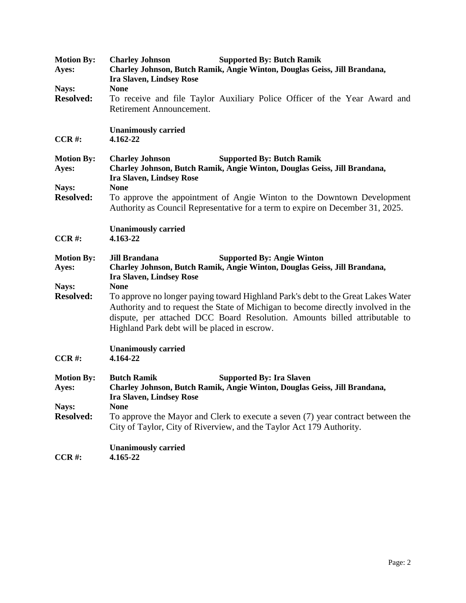| <b>Motion By:</b>         | <b>Supported By: Butch Ramik</b><br><b>Charley Johnson</b>                                                                                               |
|---------------------------|----------------------------------------------------------------------------------------------------------------------------------------------------------|
| Ayes:                     | Charley Johnson, Butch Ramik, Angie Winton, Douglas Geiss, Jill Brandana,                                                                                |
|                           | <b>Ira Slaven, Lindsey Rose</b><br><b>None</b>                                                                                                           |
| Nays:<br><b>Resolved:</b> | To receive and file Taylor Auxiliary Police Officer of the Year Award and                                                                                |
|                           | Retirement Announcement.                                                                                                                                 |
|                           |                                                                                                                                                          |
|                           | <b>Unanimously carried</b>                                                                                                                               |
| $CCR$ #:                  | 4.162-22                                                                                                                                                 |
|                           |                                                                                                                                                          |
| <b>Motion By:</b>         | <b>Charley Johnson</b><br><b>Supported By: Butch Ramik</b>                                                                                               |
| Ayes:                     | Charley Johnson, Butch Ramik, Angie Winton, Douglas Geiss, Jill Brandana,                                                                                |
|                           | <b>Ira Slaven, Lindsey Rose</b>                                                                                                                          |
| Nays:<br><b>Resolved:</b> | <b>None</b>                                                                                                                                              |
|                           | To approve the appointment of Angie Winton to the Downtown Development<br>Authority as Council Representative for a term to expire on December 31, 2025. |
|                           |                                                                                                                                                          |
|                           | <b>Unanimously carried</b>                                                                                                                               |
| $CCR$ #:                  | 4.163-22                                                                                                                                                 |
|                           |                                                                                                                                                          |
| <b>Motion By:</b>         | <b>Supported By: Angie Winton</b><br><b>Jill Brandana</b>                                                                                                |
| Ayes:                     | Charley Johnson, Butch Ramik, Angie Winton, Douglas Geiss, Jill Brandana,                                                                                |
|                           | <b>Ira Slaven, Lindsey Rose</b>                                                                                                                          |
| Nays:                     | <b>None</b>                                                                                                                                              |
| <b>Resolved:</b>          | To approve no longer paying toward Highland Park's debt to the Great Lakes Water                                                                         |
|                           | Authority and to request the State of Michigan to become directly involved in the                                                                        |
|                           | dispute, per attached DCC Board Resolution. Amounts billed attributable to                                                                               |
|                           | Highland Park debt will be placed in escrow.                                                                                                             |
|                           | <b>Unanimously carried</b>                                                                                                                               |
| $CCR$ #:                  | 4.164-22                                                                                                                                                 |
|                           |                                                                                                                                                          |
| <b>Motion By:</b>         | <b>Butch Ramik</b><br><b>Supported By: Ira Slaven</b>                                                                                                    |
| Ayes:                     | Charley Johnson, Butch Ramik, Angie Winton, Douglas Geiss, Jill Brandana,                                                                                |
|                           | <b>Ira Slaven, Lindsey Rose</b>                                                                                                                          |
| Nays:                     | <b>None</b>                                                                                                                                              |
| <b>Resolved:</b>          | To approve the Mayor and Clerk to execute a seven (7) year contract between the                                                                          |
|                           | City of Taylor, City of Riverview, and the Taylor Act 179 Authority.                                                                                     |
|                           | <b>Unanimously carried</b>                                                                                                                               |
| $CCR$ #:                  | 4.165-22                                                                                                                                                 |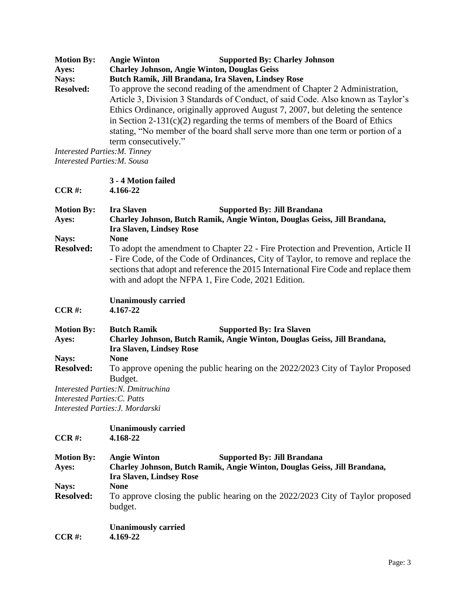| <b>Motion By:</b> | <b>Angie Winton</b>                  | <b>Supported By: Charley Johnson</b>                                                                                                                                                                                                               |
|-------------------|--------------------------------------|----------------------------------------------------------------------------------------------------------------------------------------------------------------------------------------------------------------------------------------------------|
| Ayes:             |                                      | <b>Charley Johnson, Angie Winton, Douglas Geiss</b>                                                                                                                                                                                                |
| Nays:             |                                      | Butch Ramik, Jill Brandana, Ira Slaven, Lindsey Rose                                                                                                                                                                                               |
| <b>Resolved:</b>  |                                      | To approve the second reading of the amendment of Chapter 2 Administration,<br>Article 3, Division 3 Standards of Conduct, of said Code. Also known as Taylor's                                                                                    |
|                   | term consecutively."                 | Ethics Ordinance, originally approved August 7, 2007, but deleting the sentence<br>in Section 2-131(c)(2) regarding the terms of members of the Board of Ethics<br>stating, "No member of the board shall serve more than one term or portion of a |
|                   | <b>Interested Parties: M. Tinney</b> |                                                                                                                                                                                                                                                    |

*Interested Parties:M. Sousa*

| $CCR$ #:                     | 3 - 4 Motion failed<br>4.166-22                                                                                                                                                                                                                                                                                                     |
|------------------------------|-------------------------------------------------------------------------------------------------------------------------------------------------------------------------------------------------------------------------------------------------------------------------------------------------------------------------------------|
| <b>Motion By:</b><br>Ayes:   | <b>Ira Slaven</b><br><b>Supported By: Jill Brandana</b><br>Charley Johnson, Butch Ramik, Angie Winton, Douglas Geiss, Jill Brandana,<br><b>Ira Slaven, Lindsey Rose</b>                                                                                                                                                             |
| Nays:<br><b>Resolved:</b>    | <b>None</b><br>To adopt the amendment to Chapter 22 - Fire Protection and Prevention, Article II<br>- Fire Code, of the Code of Ordinances, City of Taylor, to remove and replace the<br>sections that adopt and reference the 2015 International Fire Code and replace them<br>with and adopt the NFPA 1, Fire Code, 2021 Edition. |
| $CCR$ #:                     | <b>Unanimously carried</b><br>4.167-22                                                                                                                                                                                                                                                                                              |
| <b>Motion By:</b><br>Ayes:   | <b>Butch Ramik</b><br><b>Supported By: Ira Slaven</b><br>Charley Johnson, Butch Ramik, Angie Winton, Douglas Geiss, Jill Brandana,<br><b>Ira Slaven, Lindsey Rose</b>                                                                                                                                                               |
| Nays:<br><b>Resolved:</b>    | <b>None</b><br>To approve opening the public hearing on the 2022/2023 City of Taylor Proposed<br>Budget.                                                                                                                                                                                                                            |
| Interested Parties: C. Patts | <b>Interested Parties: N. Dmitruchina</b><br>Interested Parties: J. Mordarski                                                                                                                                                                                                                                                       |
| $CCR$ #:                     | <b>Unanimously carried</b><br>4.168-22                                                                                                                                                                                                                                                                                              |
| <b>Motion By:</b><br>Ayes:   | <b>Angie Winton</b><br><b>Supported By: Jill Brandana</b><br>Charley Johnson, Butch Ramik, Angie Winton, Douglas Geiss, Jill Brandana,<br><b>Ira Slaven, Lindsey Rose</b>                                                                                                                                                           |
| Nays:<br><b>Resolved:</b>    | <b>None</b><br>To approve closing the public hearing on the 2022/2023 City of Taylor proposed<br>budget.                                                                                                                                                                                                                            |
| $CCR$ #:                     | <b>Unanimously carried</b><br>4.169-22                                                                                                                                                                                                                                                                                              |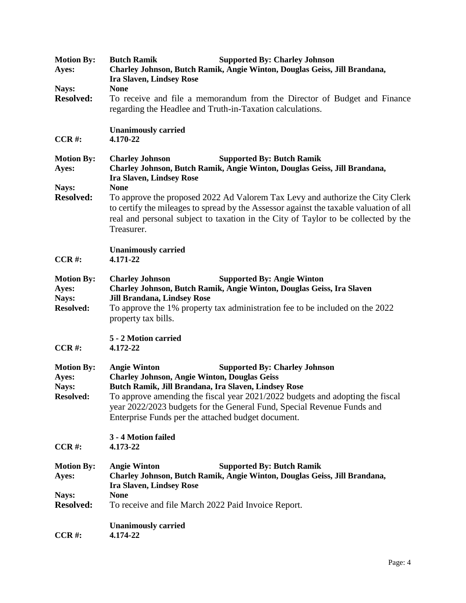| <b>Motion By:</b><br>Ayes:                              | <b>Butch Ramik</b><br><b>Supported By: Charley Johnson</b><br>Charley Johnson, Butch Ramik, Angie Winton, Douglas Geiss, Jill Brandana,<br><b>Ira Slaven, Lindsey Rose</b>                                                                                                                                                                                                                                                                                               |
|---------------------------------------------------------|--------------------------------------------------------------------------------------------------------------------------------------------------------------------------------------------------------------------------------------------------------------------------------------------------------------------------------------------------------------------------------------------------------------------------------------------------------------------------|
| Nays:<br><b>Resolved:</b>                               | <b>None</b><br>To receive and file a memorandum from the Director of Budget and Finance<br>regarding the Headlee and Truth-in-Taxation calculations.                                                                                                                                                                                                                                                                                                                     |
| $CCR$ #:                                                | <b>Unanimously carried</b><br>4.170-22                                                                                                                                                                                                                                                                                                                                                                                                                                   |
| <b>Motion By:</b><br>Ayes:<br>Nays:<br><b>Resolved:</b> | <b>Supported By: Butch Ramik</b><br><b>Charley Johnson</b><br>Charley Johnson, Butch Ramik, Angie Winton, Douglas Geiss, Jill Brandana,<br><b>Ira Slaven, Lindsey Rose</b><br><b>None</b><br>To approve the proposed 2022 Ad Valorem Tax Levy and authorize the City Clerk<br>to certify the mileages to spread by the Assessor against the taxable valuation of all<br>real and personal subject to taxation in the City of Taylor to be collected by the<br>Treasurer. |
| $CCR$ #:                                                | <b>Unanimously carried</b><br>4.171-22                                                                                                                                                                                                                                                                                                                                                                                                                                   |
| <b>Motion By:</b><br>Ayes:<br>Nays:<br><b>Resolved:</b> | <b>Supported By: Angie Winton</b><br><b>Charley Johnson</b><br>Charley Johnson, Butch Ramik, Angie Winton, Douglas Geiss, Ira Slaven<br><b>Jill Brandana, Lindsey Rose</b><br>To approve the 1% property tax administration fee to be included on the 2022<br>property tax bills.                                                                                                                                                                                        |
| $CCR$ #:                                                | 5 - 2 Motion carried<br>4.172-22                                                                                                                                                                                                                                                                                                                                                                                                                                         |
| <b>Motion By:</b><br>Ayes:<br>Nays:<br><b>Resolved:</b> | <b>Angie Winton</b><br><b>Supported By: Charley Johnson</b><br><b>Charley Johnson, Angie Winton, Douglas Geiss</b><br>Butch Ramik, Jill Brandana, Ira Slaven, Lindsey Rose<br>To approve amending the fiscal year 2021/2022 budgets and adopting the fiscal<br>year 2022/2023 budgets for the General Fund, Special Revenue Funds and<br>Enterprise Funds per the attached budget document.                                                                              |
| $CCR$ #:                                                | 3 - 4 Motion failed<br>4.173-22                                                                                                                                                                                                                                                                                                                                                                                                                                          |
| <b>Motion By:</b><br>Ayes:<br>Nays:<br><b>Resolved:</b> | <b>Supported By: Butch Ramik</b><br><b>Angie Winton</b><br>Charley Johnson, Butch Ramik, Angie Winton, Douglas Geiss, Jill Brandana,<br><b>Ira Slaven, Lindsey Rose</b><br><b>None</b><br>To receive and file March 2022 Paid Invoice Report.                                                                                                                                                                                                                            |
| $CCR$ #:                                                | <b>Unanimously carried</b><br>4.174-22                                                                                                                                                                                                                                                                                                                                                                                                                                   |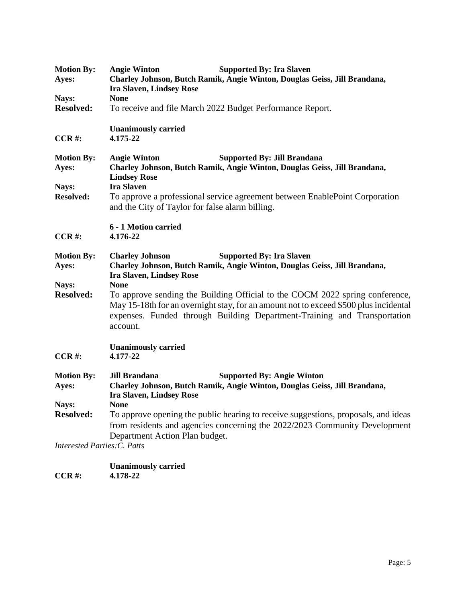| <b>Motion By:</b><br>Ayes:          | <b>Angie Winton</b><br><b>Supported By: Ira Slaven</b><br>Charley Johnson, Butch Ramik, Angie Winton, Douglas Geiss, Jill Brandana,<br><b>Ira Slaven, Lindsey Rose</b>                                                                                                      |  |
|-------------------------------------|-----------------------------------------------------------------------------------------------------------------------------------------------------------------------------------------------------------------------------------------------------------------------------|--|
| Nays:<br><b>Resolved:</b>           | <b>None</b><br>To receive and file March 2022 Budget Performance Report.                                                                                                                                                                                                    |  |
| $CCR$ #:                            | <b>Unanimously carried</b><br>4.175-22                                                                                                                                                                                                                                      |  |
| <b>Motion By:</b><br>Ayes:          | <b>Angie Winton</b><br><b>Supported By: Jill Brandana</b><br>Charley Johnson, Butch Ramik, Angie Winton, Douglas Geiss, Jill Brandana,<br><b>Lindsey Rose</b>                                                                                                               |  |
| Nays:<br><b>Resolved:</b>           | <b>Ira Slaven</b><br>To approve a professional service agreement between EnablePoint Corporation<br>and the City of Taylor for false alarm billing.                                                                                                                         |  |
| $CCR$ #:                            | 6 - 1 Motion carried<br>4.176-22                                                                                                                                                                                                                                            |  |
| <b>Motion By:</b><br>Ayes:          | <b>Supported By: Ira Slaven</b><br><b>Charley Johnson</b><br>Charley Johnson, Butch Ramik, Angie Winton, Douglas Geiss, Jill Brandana,<br><b>Ira Slaven, Lindsey Rose</b>                                                                                                   |  |
| Nays:<br><b>Resolved:</b>           | <b>None</b><br>To approve sending the Building Official to the COCM 2022 spring conference,<br>May 15-18th for an overnight stay, for an amount not to exceed \$500 plus incidental<br>expenses. Funded through Building Department-Training and Transportation<br>account. |  |
| $CCR$ #:                            | <b>Unanimously carried</b><br>4.177-22                                                                                                                                                                                                                                      |  |
| <b>Motion By:</b><br>Ayes:          | <b>Supported By: Angie Winton</b><br><b>Jill Brandana</b><br>Charley Johnson, Butch Ramik, Angie Winton, Douglas Geiss, Jill Brandana,<br><b>Ira Slaven, Lindsey Rose</b>                                                                                                   |  |
| Nays:<br><b>Resolved:</b>           | <b>None</b><br>To approve opening the public hearing to receive suggestions, proposals, and ideas<br>from residents and agencies concerning the 2022/2023 Community Development<br>Department Action Plan budget.                                                           |  |
| <b>Interested Parties: C. Patts</b> |                                                                                                                                                                                                                                                                             |  |

|               | <b>Unanimously carried</b> |
|---------------|----------------------------|
| <b>CCR #:</b> | 4.178-22                   |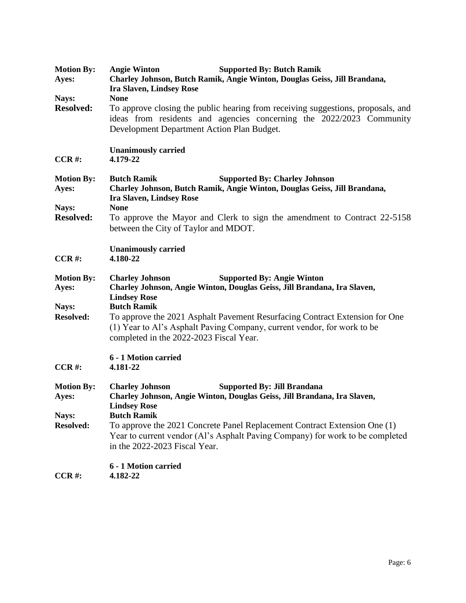| <b>Motion By:</b><br>Ayes: | <b>Supported By: Butch Ramik</b><br><b>Angie Winton</b><br>Charley Johnson, Butch Ramik, Angie Winton, Douglas Geiss, Jill Brandana,<br><b>Ira Slaven, Lindsey Rose</b>                                               |
|----------------------------|-----------------------------------------------------------------------------------------------------------------------------------------------------------------------------------------------------------------------|
| Nays:<br><b>Resolved:</b>  | <b>None</b><br>To approve closing the public hearing from receiving suggestions, proposals, and<br>ideas from residents and agencies concerning the 2022/2023 Community<br>Development Department Action Plan Budget. |
| $CCR$ #:                   | <b>Unanimously carried</b><br>4.179-22                                                                                                                                                                                |
| <b>Motion By:</b><br>Ayes: | <b>Supported By: Charley Johnson</b><br><b>Butch Ramik</b><br>Charley Johnson, Butch Ramik, Angie Winton, Douglas Geiss, Jill Brandana,<br><b>Ira Slaven, Lindsey Rose</b>                                            |
| Nays:<br><b>Resolved:</b>  | <b>None</b><br>To approve the Mayor and Clerk to sign the amendment to Contract 22-5158<br>between the City of Taylor and MDOT.                                                                                       |
| $CCR$ #:                   | <b>Unanimously carried</b><br>4.180-22                                                                                                                                                                                |
| <b>Motion By:</b><br>Ayes: | <b>Charley Johnson</b><br><b>Supported By: Angie Winton</b><br>Charley Johnson, Angie Winton, Douglas Geiss, Jill Brandana, Ira Slaven,<br><b>Lindsey Rose</b><br><b>Butch Ramik</b>                                  |
| Nays:<br><b>Resolved:</b>  | To approve the 2021 Asphalt Pavement Resurfacing Contract Extension for One<br>(1) Year to Al's Asphalt Paving Company, current vendor, for work to be<br>completed in the 2022-2023 Fiscal Year.                     |
| $CCR$ #:                   | 6 - 1 Motion carried<br>4.181-22                                                                                                                                                                                      |
| <b>Motion By:</b><br>Ayes: | <b>Charley Johnson</b><br><b>Supported By: Jill Brandana</b><br>Charley Johnson, Angie Winton, Douglas Geiss, Jill Brandana, Ira Slaven,<br><b>Lindsey Rose</b>                                                       |
| Nays:<br><b>Resolved:</b>  | <b>Butch Ramik</b><br>To approve the 2021 Concrete Panel Replacement Contract Extension One (1)<br>Year to current vendor (Al's Asphalt Paving Company) for work to be completed<br>in the 2022-2023 Fiscal Year.     |
| $CCR$ #:                   | 6 - 1 Motion carried<br>4.182-22                                                                                                                                                                                      |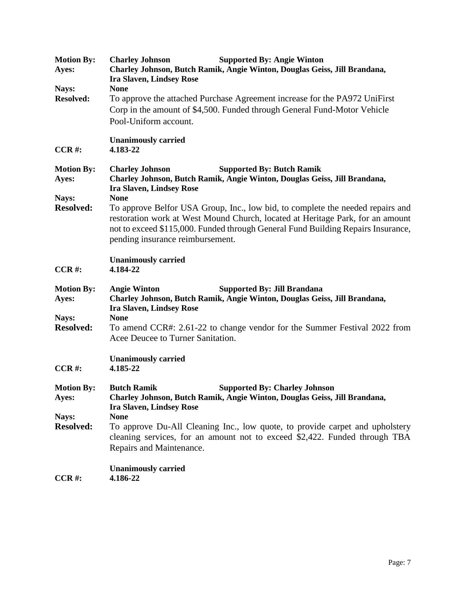| <b>Motion By:</b><br>Ayes:          | <b>Supported By: Angie Winton</b><br><b>Charley Johnson</b><br>Charley Johnson, Butch Ramik, Angie Winton, Douglas Geiss, Jill Brandana,<br><b>Ira Slaven, Lindsey Rose</b>                                                                                                              |
|-------------------------------------|------------------------------------------------------------------------------------------------------------------------------------------------------------------------------------------------------------------------------------------------------------------------------------------|
| Nays:                               | <b>None</b>                                                                                                                                                                                                                                                                              |
| <b>Resolved:</b>                    | To approve the attached Purchase Agreement increase for the PA972 UniFirst<br>Corp in the amount of \$4,500. Funded through General Fund-Motor Vehicle<br>Pool-Uniform account.                                                                                                          |
| $CCR$ #:                            | <b>Unanimously carried</b><br>4.183-22                                                                                                                                                                                                                                                   |
| <b>Motion By:</b><br>Ayes:<br>Nays: | <b>Supported By: Butch Ramik</b><br><b>Charley Johnson</b><br>Charley Johnson, Butch Ramik, Angie Winton, Douglas Geiss, Jill Brandana,<br><b>Ira Slaven, Lindsey Rose</b><br><b>None</b>                                                                                                |
| <b>Resolved:</b>                    | To approve Belfor USA Group, Inc., low bid, to complete the needed repairs and<br>restoration work at West Mound Church, located at Heritage Park, for an amount<br>not to exceed \$115,000. Funded through General Fund Building Repairs Insurance,<br>pending insurance reimbursement. |
| $CCR$ #:                            | <b>Unanimously carried</b><br>4.184-22                                                                                                                                                                                                                                                   |
| <b>Motion By:</b><br>Ayes:          | <b>Supported By: Jill Brandana</b><br><b>Angie Winton</b><br>Charley Johnson, Butch Ramik, Angie Winton, Douglas Geiss, Jill Brandana,<br><b>Ira Slaven, Lindsey Rose</b>                                                                                                                |
| Nays:<br><b>Resolved:</b>           | <b>None</b><br>To amend CCR#: 2.61-22 to change vendor for the Summer Festival 2022 from<br>Acee Deucee to Turner Sanitation.                                                                                                                                                            |
| $CCR$ #:                            | <b>Unanimously carried</b><br>4.185-22                                                                                                                                                                                                                                                   |
| <b>Motion By:</b><br>Ayes:          | <b>Butch Ramik</b><br><b>Supported By: Charley Johnson</b><br>Charley Johnson, Butch Ramik, Angie Winton, Douglas Geiss, Jill Brandana,<br><b>Ira Slaven, Lindsey Rose</b>                                                                                                               |
| Nays:<br><b>Resolved:</b>           | <b>None</b><br>To approve Du-All Cleaning Inc., low quote, to provide carpet and upholstery<br>cleaning services, for an amount not to exceed \$2,422. Funded through TBA<br>Repairs and Maintenance.                                                                                    |
| $CCR$ #:                            | <b>Unanimously carried</b><br>4.186-22                                                                                                                                                                                                                                                   |